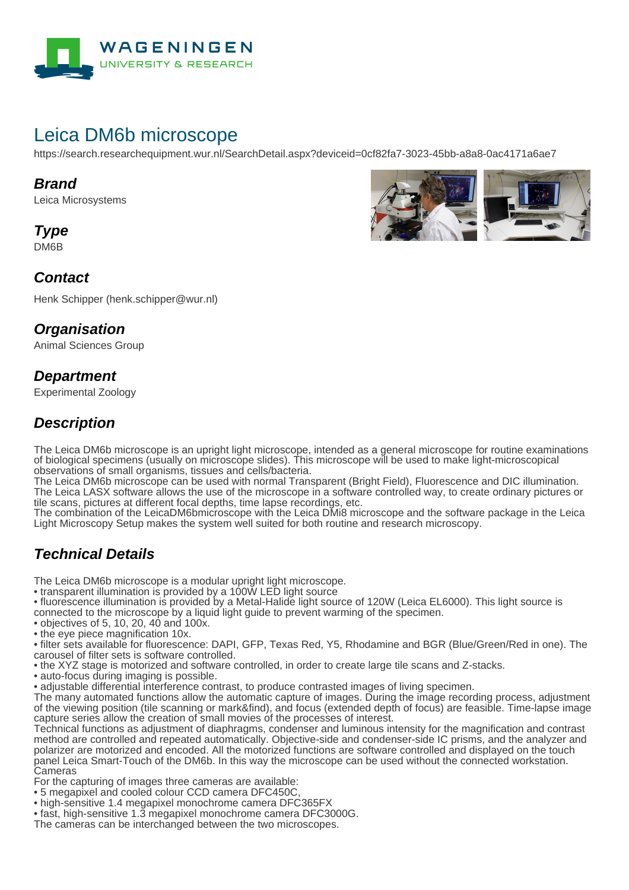

# Leica DM6b microscope

https://search.researchequipment.wur.nl/SearchDetail.aspx?deviceid=0cf82fa7-3023-45bb-a8a8-0ac4171a6ae7

#### **Brand**

Leica Microsystems

**Type**

**DM<sub>6</sub>B** 



### **Contact**

Henk Schipper (henk.schipper@wur.nl)

### **Organisation**

Animal Sciences Group

## **Department**

Experimental Zoology

## **Description**

The Leica DM6b microscope is an upright light microscope, intended as a general microscope for routine examinations of biological specimens (usually on microscope slides). This microscope will be used to make light-microscopical observations of small organisms, tissues and cells/bacteria.

The Leica DM6b microscope can be used with normal Transparent (Bright Field), Fluorescence and DIC illumination. The Leica LASX software allows the use of the microscope in a software controlled way, to create ordinary pictures or tile scans, pictures at different focal depths, time lapse recordings, etc.

The combination of the LeicaDM6bmicroscope with the Leica DMi8 microscope and the software package in the Leica Light Microscopy Setup makes the system well suited for both routine and research microscopy.

## **Technical Details**

The Leica DM6b microscope is a modular upright light microscope.

• transparent illumination is provided by a 100W LED light source

• fluorescence illumination is provided by a Metal-Halide light source of 120W (Leica EL6000). This light source is

- connected to the microscope by a liquid light guide to prevent warming of the specimen. • objectives of 5, 10, 20, 40 and 100x.
- the eye piece magnification 10x.
- filter sets available for fluorescence: DAPI, GFP, Texas Red, Y5, Rhodamine and BGR (Blue/Green/Red in one). The carousel of filter sets is software controlled.

• the XYZ stage is motorized and software controlled, in order to create large tile scans and Z-stacks.

• auto-focus during imaging is possible.

• adjustable differential interference contrast, to produce contrasted images of living specimen.

The many automated functions allow the automatic capture of images. During the image recording process, adjustment of the viewing position (tile scanning or mark&find), and focus (extended depth of focus) are feasible. Time-lapse image capture series allow the creation of small movies of the processes of interest.

Technical functions as adjustment of diaphragms, condenser and luminous intensity for the magnification and contrast method are controlled and repeated automatically. Objective-side and condenser-side IC prisms, and the analyzer and polarizer are motorized and encoded. All the motorized functions are software controlled and displayed on the touch panel Leica Smart-Touch of the DM6b. In this way the microscope can be used without the connected workstation. Cameras

For the capturing of images three cameras are available:

- 5 megapixel and cooled colour CCD camera DFC450C,
- high-sensitive 1.4 megapixel monochrome camera DFC365FX
- fast, high-sensitive 1.3 megapixel monochrome camera DFC3000G.
- The cameras can be interchanged between the two microscopes.